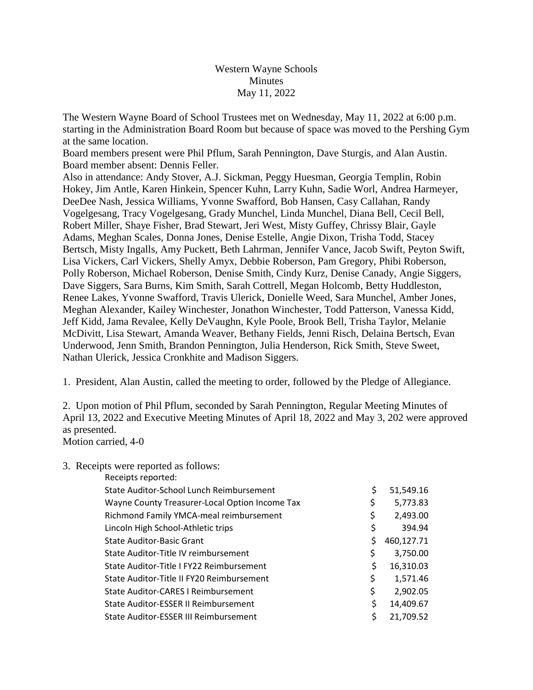## Western Wayne Schools **Minutes** May 11, 2022

The Western Wayne Board of School Trustees met on Wednesday, May 11, 2022 at 6:00 p.m. starting in the Administration Board Room but because of space was moved to the Pershing Gym at the same location.

Board members present were Phil Pflum, Sarah Pennington, Dave Sturgis, and Alan Austin. Board member absent: Dennis Feller.

Also in attendance: Andy Stover, A.J. Sickman, Peggy Huesman, Georgia Templin, Robin Hokey, Jim Antle, Karen Hinkein, Spencer Kuhn, Larry Kuhn, Sadie Worl, Andrea Harmeyer, DeeDee Nash, Jessica Williams, Yvonne Swafford, Bob Hansen, Casy Callahan, Randy Vogelgesang, Tracy Vogelgesang, Grady Munchel, Linda Munchel, Diana Bell, Cecil Bell, Robert Miller, Shaye Fisher, Brad Stewart, Jeri West, Misty Guffey, Chrissy Blair, Gayle Adams, Meghan Scales, Donna Jones, Denise Estelle, Angie Dixon, Trisha Todd, Stacey Bertsch, Misty Ingalls, Amy Puckett, Beth Lahrman, Jennifer Vance, Jacob Swift, Peyton Swift, Lisa Vickers, Carl Vickers, Shelly Amyx, Debbie Roberson, Pam Gregory, Phibi Roberson, Polly Roberson, Michael Roberson, Denise Smith, Cindy Kurz, Denise Canady, Angie Siggers, Dave Siggers, Sara Burns, Kim Smith, Sarah Cottrell, Megan Holcomb, Betty Huddleston, Renee Lakes, Yvonne Swafford, Travis Ulerick, Donielle Weed, Sara Munchel, Amber Jones, Meghan Alexander, Kailey Winchester, Jonathon Winchester, Todd Patterson, Vanessa Kidd, Jeff Kidd, Jama Revalee, Kelly DeVaughn, Kyle Poole, Brook Bell, Trisha Taylor, Melanie McDivitt, Lisa Stewart, Amanda Weaver, Bethany Fields, Jenni Risch, Delaina Bertsch, Evan Underwood, Jenn Smith, Brandon Pennington, Julia Henderson, Rick Smith, Steve Sweet, Nathan Ulerick, Jessica Cronkhite and Madison Siggers.

1. President, Alan Austin, called the meeting to order, followed by the Pledge of Allegiance.

2. Upon motion of Phil Pflum, seconded by Sarah Pennington, Regular Meeting Minutes of April 13, 2022 and Executive Meeting Minutes of April 18, 2022 and May 3, 202 were approved as presented.

Motion carried, 4-0

3. Receipts were reported as follows:

| Receipts reported:                             |                  |
|------------------------------------------------|------------------|
| State Auditor-School Lunch Reimbursement       | \$<br>51,549.16  |
| Wayne County Treasurer-Local Option Income Tax | \$<br>5,773.83   |
| Richmond Family YMCA-meal reimbursement        | \$<br>2,493.00   |
| Lincoln High School-Athletic trips             | \$<br>394.94     |
| <b>State Auditor-Basic Grant</b>               | \$<br>460,127.71 |
| State Auditor-Title IV reimbursement           | \$<br>3,750.00   |
| State Auditor-Title I FY22 Reimbursement       | \$<br>16,310.03  |
| State Auditor-Title II FY20 Reimbursement      | \$<br>1,571.46   |
| <b>State Auditor-CARES I Reimbursement</b>     | \$<br>2,902.05   |
| State Auditor-ESSER II Reimbursement           | \$<br>14,409.67  |
| State Auditor-ESSER III Reimbursement          | \$<br>21,709.52  |
|                                                |                  |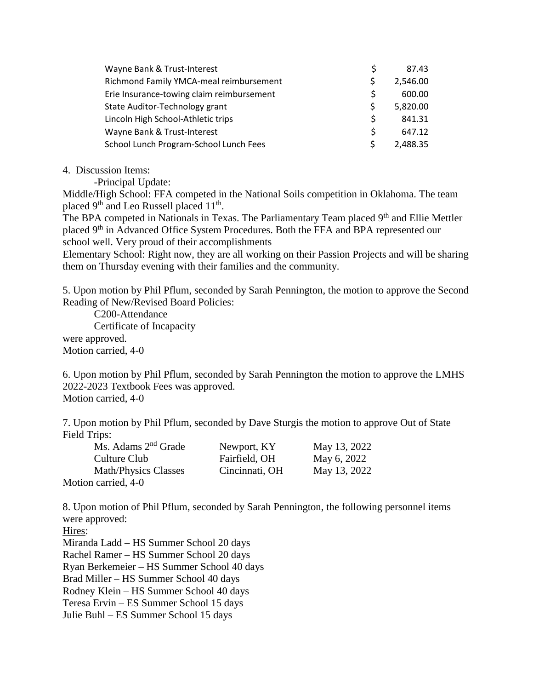| Wayne Bank & Trust-Interest               | S  | 87.43    |
|-------------------------------------------|----|----------|
| Richmond Family YMCA-meal reimbursement   | S. | 2,546.00 |
| Erie Insurance-towing claim reimbursement | S  | 600.00   |
| State Auditor-Technology grant            | S. | 5,820.00 |
| Lincoln High School-Athletic trips        | Ś  | 841.31   |
| Wayne Bank & Trust-Interest               | \$ | 647.12   |
| School Lunch Program-School Lunch Fees    |    | 2,488.35 |

## 4. Discussion Items:

-Principal Update:

Middle/High School: FFA competed in the National Soils competition in Oklahoma. The team placed 9<sup>th</sup> and Leo Russell placed 11<sup>th</sup>.

The BPA competed in Nationals in Texas. The Parliamentary Team placed 9<sup>th</sup> and Ellie Mettler placed 9th in Advanced Office System Procedures. Both the FFA and BPA represented our school well. Very proud of their accomplishments

Elementary School: Right now, they are all working on their Passion Projects and will be sharing them on Thursday evening with their families and the community.

5. Upon motion by Phil Pflum, seconded by Sarah Pennington, the motion to approve the Second Reading of New/Revised Board Policies:

 C200-Attendance Certificate of Incapacity were approved. Motion carried, 4-0

6. Upon motion by Phil Pflum, seconded by Sarah Pennington the motion to approve the LMHS 2022-2023 Textbook Fees was approved. Motion carried, 4-0

7. Upon motion by Phil Pflum, seconded by Dave Sturgis the motion to approve Out of State Field Trips:

| Ms. Adams 2 <sup>nd</sup> Grade | Newport, KY    | May 13, 2022 |
|---------------------------------|----------------|--------------|
| Culture Club                    | Fairfield, OH  | May 6, 2022  |
| <b>Math/Physics Classes</b>     | Cincinnati, OH | May 13, 2022 |
| Motion carried, 4-0             |                |              |

8. Upon motion of Phil Pflum, seconded by Sarah Pennington, the following personnel items were approved:

Hires:

Miranda Ladd – HS Summer School 20 days Rachel Ramer – HS Summer School 20 days Ryan Berkemeier – HS Summer School 40 days Brad Miller – HS Summer School 40 days Rodney Klein – HS Summer School 40 days Teresa Ervin – ES Summer School 15 days Julie Buhl – ES Summer School 15 days